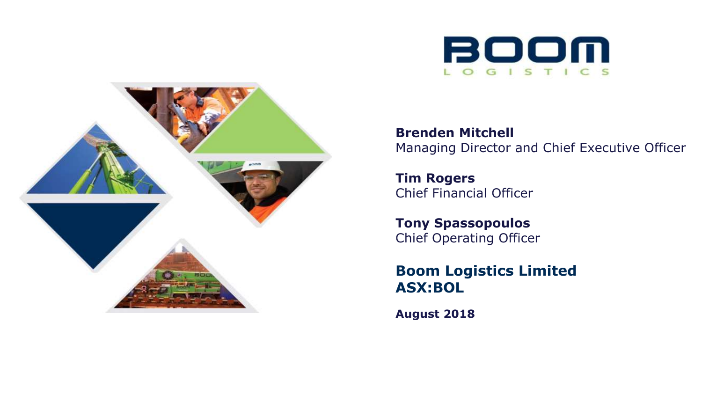



**Brenden Mitchell** Managing Director and Chief Executive Officer

**Tim Rogers** Chief Financial Officer

**Tony Spassopoulos**  Chief Operating Officer

**Boom Logistics Limited ASX:BOL**

**August 2018**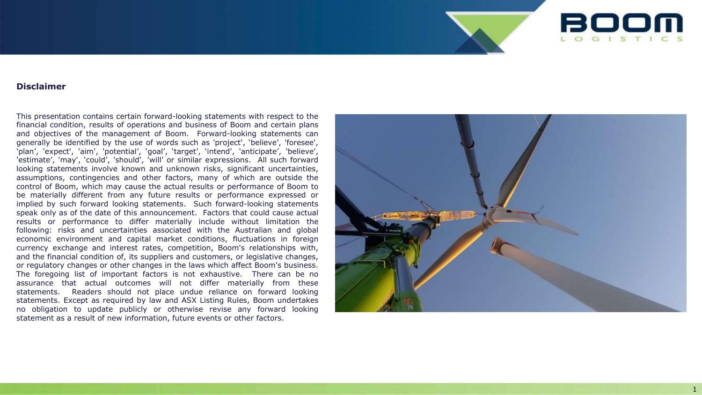

#### **Disclaimer**

This presentation contains certain forward -looking statements with respect to the financial condition, results of operations and business of Boom and certain plans and objectives of the management of Boom . Forward -looking statements can generally be identified by the use of words such as 'project', 'believe', 'foresee', 'plan', 'expect', 'aim', 'potential', 'goal', 'target', 'intend', 'anticipate', 'believe', 'estimate', 'may', 'could', 'should', 'will' or similar expressions . All such forward looking statements involve known and unknown risks, significant uncertainties, assumptions, contingencies and other factors, many of which are outside the control of Boom, which may cause the actual results or performance of Boom to be materially different from any future results or performance expressed or implied by such forward looking statements . Such forward -looking statements speak only as of the date of this announcement . Factors that could cause actual results or performance to differ materially include without limitation the following : risks and uncertainties associated with the Australian and global economic environment and capital market conditions, fluctuations in foreign currency exchange and interest rates, competition, Boom's relationships with, and the financial condition of, its suppliers and customers, or legislative changes, or regulatory changes or other changes in the laws which affect Boom's business . The foregoing list of important factors is not exhaustive . There can be no assurance that actual outcomes will not differ materially from these statements . Readers should not place undue reliance on forward looking statements . Except as required by law and ASX Listing Rules, Boom undertakes no obligation to update publicly or otherwise revise any forward looking statement as a result of new information, future events or other factors .

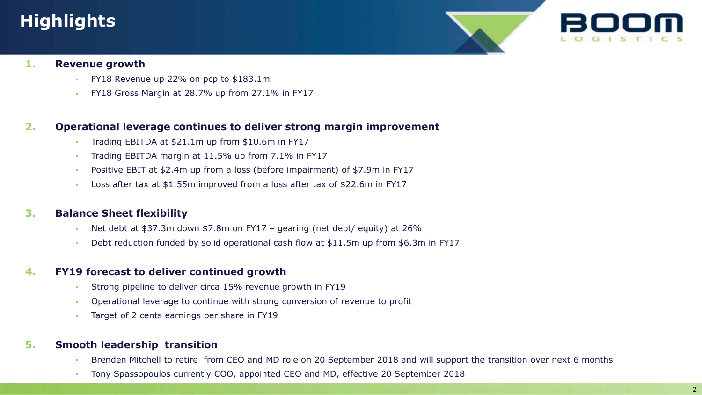# **Highlights**



### **1. Revenue growth**

- FY18 Revenue up 22% on pcp to \$183.1m
- FY18 Gross Margin at 28.7% up from 27.1% in FY17

### **2. Operational leverage continues to deliver strong margin improvement**

- Trading EBITDA at \$21.1m up from \$10.6m in FY17
- Trading EBITDA margin at 11.5% up from 7.1% in FY17
- Positive EBIT at \$2.4m up from a loss (before impairment) of \$7.9m in FY17
- Loss after tax at \$1.55m improved from a loss after tax of \$22.6m in FY17

## **3. Balance Sheet flexibility**

- Net debt at \$37.3m down \$7.8m on FY17 gearing (net debt/ equity) at 26%
- Debt reduction funded by solid operational cash flow at \$11.5m up from \$6.3m in FY17

### **4. FY19 forecast to deliver continued growth**

- Strong pipeline to deliver circa 15% revenue growth in FY19
- Operational leverage to continue with strong conversion of revenue to profit
- Target of 2 cents earnings per share in FY19

## **5. Smooth leadership transition**

- Brenden Mitchell to retire from CEO and MD role on 20 September 2018 and will support the transition over next 6 months
- Tony Spassopoulos currently COO, appointed CEO and MD, effective 20 September 2018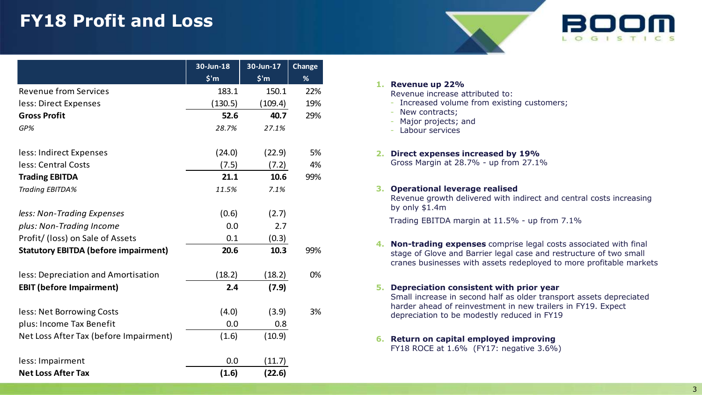# **FY18 Profit and Loss**

|                                             | 30-Jun-18      | 30-Jun-17      | <b>Change</b> |
|---------------------------------------------|----------------|----------------|---------------|
|                                             | $$^{\prime}$ m | $$^{\prime}$ m | %             |
| <b>Revenue from Services</b>                | 183.1          | 150.1          | 22%           |
| less: Direct Expenses                       | (130.5)        | (109.4)        | 19%           |
| <b>Gross Profit</b>                         | 52.6           | 40.7           | 29%           |
| GP%                                         | 28.7%          | 27.1%          |               |
| less: Indirect Expenses                     | (24.0)         | (22.9)         | 5%            |
| less: Central Costs                         | (7.5)          | (7.2)          | 4%            |
| <b>Trading EBITDA</b>                       | 21.1           | 10.6           | 99%           |
| Trading EBITDA%                             | 11.5%          | 7.1%           |               |
| less: Non-Trading Expenses                  | (0.6)          | (2.7)          |               |
| plus: Non-Trading Income                    | 0.0            | 2.7            |               |
| Profit/ (loss) on Sale of Assets            | 0.1            | (0.3)          |               |
| <b>Statutory EBITDA (before impairment)</b> | 20.6           | 10.3           | 99%           |
| less: Depreciation and Amortisation         | (18.2)         | (18.2)         | 0%            |
| <b>EBIT (before Impairment)</b>             | 2.4            | (7.9)          |               |
| less: Net Borrowing Costs                   | (4.0)          | (3.9)          | 3%            |
| plus: Income Tax Benefit                    | 0.0            | 0.8            |               |
| Net Loss After Tax (before Impairment)      | (1.6)          | (10.9)         |               |
| less: Impairment                            | 0.0            | (11.7)         |               |
| <b>Net Loss After Tax</b>                   | (1.6)          | (22.6)         |               |

#### **1. Revenue up 22%** Revenue increase attributed to:

- Increased volume from existing customers;
- New contracts;
- Major projects; and
- Labour services

#### **2. Direct expenses increased by 19%**

Gross Margin at 28.7% - up from 27.1%

#### **3. Operational leverage realised**

Revenue growth delivered with indirect and central costs increasing by only \$1.4m

Trading EBITDA margin at 11.5% - up from 7.1%

**4. Non-trading expenses** comprise legal costs associated with final stage of Glove and Barrier legal case and restructure of two small cranes businesses with assets redeployed to more profitable markets

#### **5. Depreciation consistent with prior year**

Small increase in second half as older transport assets depreciated harder ahead of reinvestment in new trailers in FY19. Expect depreciation to be modestly reduced in FY19

#### **6. Return on capital employed improving**  FY18 ROCE at 1.6% (FY17: negative 3.6%)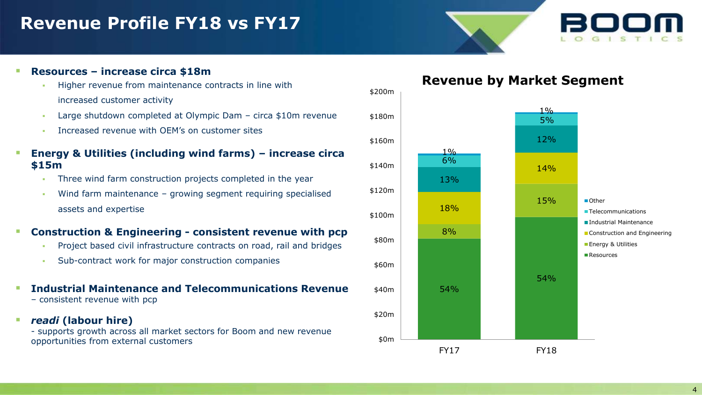## **Revenue Profile FY18 vs FY17**

### **Resources – increase circa \$18m**

- **Higher revenue from maintenance contracts in line with** increased customer activity
- Large shutdown completed at Olympic Dam circa \$10m revenue
- **Increased revenue with OFM's on customer sites**
- **Energy & Utilities (including wind farms) – increase circa \$15m**
	- Three wind farm construction projects completed in the year
	- Wind farm maintenance growing segment requiring specialised assets and expertise

### **Construction & Engineering - consistent revenue with pcp**

- **Project based civil infrastructure contracts on road, rail and bridges**
- Sub-contract work for major construction companies

#### **Industrial Maintenance and Telecommunications Revenue**  – consistent revenue with pcp

*readi* **(labour hire)** 

- supports growth across all market sectors for Boom and new revenue opportunities from external customers

## **Revenue by Market Segment**

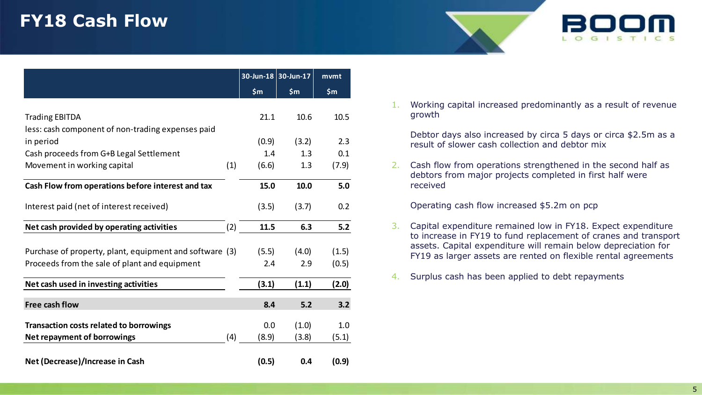## **FY18 Cash Flow**

|                                                         |     | 30-Jun-18 30-Jun-17 |       | mvmt  |
|---------------------------------------------------------|-----|---------------------|-------|-------|
|                                                         |     | \$m\$               | \$m   | \$m\$ |
|                                                         |     |                     |       |       |
| <b>Trading EBITDA</b>                                   |     | 21.1                | 10.6  | 10.5  |
| less: cash component of non-trading expenses paid       |     |                     |       |       |
| in period                                               |     | (0.9)               | (3.2) | 2.3   |
| Cash proceeds from G+B Legal Settlement                 |     | 1.4                 | 1.3   | 0.1   |
| Movement in working capital                             | (1) | (6.6)               | 1.3   | (7.9) |
| Cash Flow from operations before interest and tax       |     | 15.0                | 10.0  | 5.0   |
|                                                         |     |                     |       |       |
| Interest paid (net of interest received)                |     | (3.5)               | (3.7) | 0.2   |
| Net cash provided by operating activities               | (2) | 11.5                | 6.3   | 5.2   |
|                                                         |     |                     |       |       |
| Purchase of property, plant, equipment and software (3) |     | (5.5)               | (4.0) | (1.5) |
| Proceeds from the sale of plant and equipment           |     | 2.4                 | 2.9   | (0.5) |
| Net cash used in investing activities                   |     | (3.1)               | (1.1) | (2.0) |
| <b>Free cash flow</b>                                   |     | 8.4                 | 5.2   | 3.2   |
|                                                         |     |                     |       |       |
| <b>Transaction costs related to borrowings</b>          |     | 0.0                 | (1.0) | 1.0   |
| <b>Net repayment of borrowings</b>                      | (4) | (8.9)               | (3.8) | (5.1) |
| Net (Decrease)/Increase in Cash                         |     | (0.5)               | 0.4   | (0.9) |

1. Working capital increased predominantly as a result of revenue growth

Debtor days also increased by circa 5 days or circa \$2.5m as a result of slower cash collection and debtor mix

2. Cash flow from operations strengthened in the second half as debtors from major projects completed in first half were received

Operating cash flow increased \$5.2m on pcp

- 3. Capital expenditure remained low in FY18. Expect expenditure to increase in FY19 to fund replacement of cranes and transport assets. Capital expenditure will remain below depreciation for FY19 as larger assets are rented on flexible rental agreements
- 4. Surplus cash has been applied to debt repayments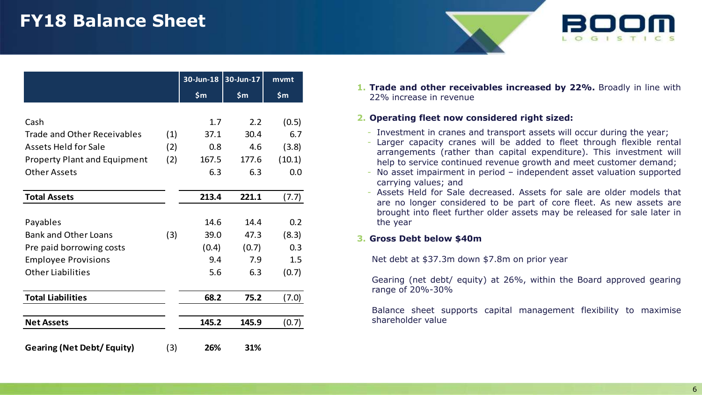# **FY18 Balance Sheet**

|                                     |     | 30-Jun-18 | 30-Jun-17 | mvmt   |
|-------------------------------------|-----|-----------|-----------|--------|
|                                     |     | \$m\$     | \$m\$     | \$m\$  |
|                                     |     |           |           |        |
| Cash                                |     | 1.7       | 2.2       | (0.5)  |
| <b>Trade and Other Receivables</b>  | (1) | 37.1      | 30.4      | 6.7    |
| <b>Assets Held for Sale</b>         | (2) | 0.8       | 4.6       | (3.8)  |
| <b>Property Plant and Equipment</b> | (2) | 167.5     | 177.6     | (10.1) |
| <b>Other Assets</b>                 |     | 6.3       | 6.3       | 0.0    |
|                                     |     |           |           |        |
| <b>Total Assets</b>                 |     | 213.4     | 221.1     | (7.7)  |
|                                     |     |           |           |        |
| Payables                            |     | 14.6      | 14.4      | 0.2    |
| <b>Bank and Other Loans</b>         | (3) | 39.0      | 47.3      | (8.3)  |
| Pre paid borrowing costs            |     | (0.4)     | (0.7)     | 0.3    |
| <b>Employee Provisions</b>          |     | 9.4       | 7.9       | 1.5    |
| <b>Other Liabilities</b>            |     | 5.6       | 6.3       | (0.7)  |
|                                     |     |           |           |        |
| <b>Total Liabilities</b>            |     | 68.2      | 75.2      | (7.0)  |
| <b>Net Assets</b>                   |     | 145.2     | 145.9     | (0.7)  |
| <b>Gearing (Net Debt/ Equity)</b>   | (3) | 26%       | 31%       |        |

**1. Trade and other receivables increased by 22%.** Broadly in line with 22% increase in revenue

#### **2. Operating fleet now considered right sized:**

- Investment in cranes and transport assets will occur during the year;
- Larger capacity cranes will be added to fleet through flexible rental arrangements (rather than capital expenditure). This investment will help to service continued revenue growth and meet customer demand;
- No asset impairment in period independent asset valuation supported carrying values; and
- Assets Held for Sale decreased. Assets for sale are older models that are no longer considered to be part of core fleet. As new assets are brought into fleet further older assets may be released for sale later in the year

### **3. Gross Debt below \$40m**

Net debt at \$37.3m down \$7.8m on prior year

Gearing (net debt/ equity) at 26%, within the Board approved gearing range of 20%-30%

Balance sheet supports capital management flexibility to maximise shareholder value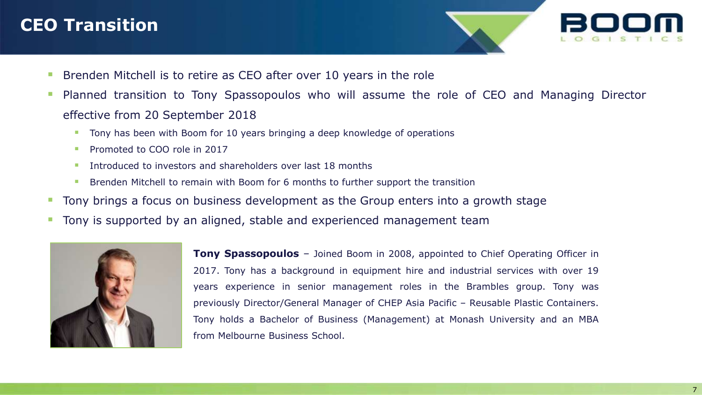## **CEO Transition**

- **Brenden Mitchell is to retire as CEO after over 10 years in the role**
- Planned transition to Tony Spassopoulos who will assume the role of CEO and Managing Director effective from 20 September 2018
	- Tony has been with Boom for 10 years bringing a deep knowledge of operations
	- Promoted to COO role in 2017
	- Introduced to investors and shareholders over last 18 months
	- Brenden Mitchell to remain with Boom for 6 months to further support the transition
- Tony brings a focus on business development as the Group enters into a growth stage
- **The Tony is supported by an aligned, stable and experienced management team**



**Tony Spassopoulos** – Joined Boom in 2008, appointed to Chief Operating Officer in 2017. Tony has a background in equipment hire and industrial services with over 19 years experience in senior management roles in the Brambles group. Tony was previously Director/General Manager of CHEP Asia Pacific – Reusable Plastic Containers. Tony holds a Bachelor of Business (Management) at Monash University and an MBA from Melbourne Business School.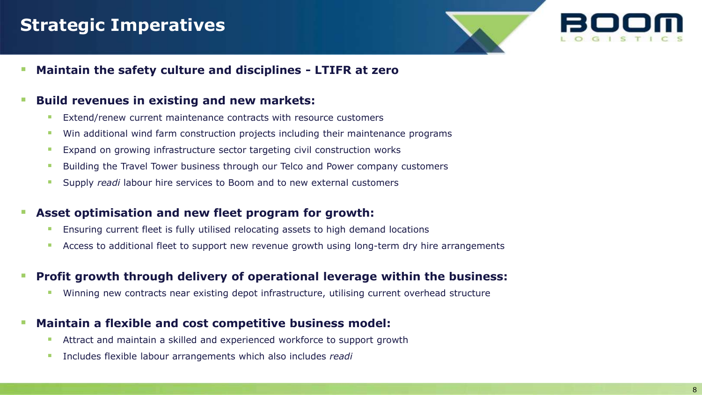## **Strategic Imperatives**

**Maintain the safety culture and disciplines - LTIFR at zero**

## **Build revenues in existing and new markets:**

- Extend/renew current maintenance contracts with resource customers
- **Win additional wind farm construction projects including their maintenance programs**
- **Expand on growing infrastructure sector targeting civil construction works**
- Building the Travel Tower business through our Telco and Power company customers
- Supply *readi* labour hire services to Boom and to new external customers

## **Asset optimisation and new fleet program for growth:**

- Ensuring current fleet is fully utilised relocating assets to high demand locations
- Access to additional fleet to support new revenue growth using long-term dry hire arrangements

## **Profit growth through delivery of operational leverage within the business:**

Winning new contracts near existing depot infrastructure, utilising current overhead structure

## **Maintain a flexible and cost competitive business model:**

- Attract and maintain a skilled and experienced workforce to support growth
- **Includes flexible labour arrangements which also includes** *readi*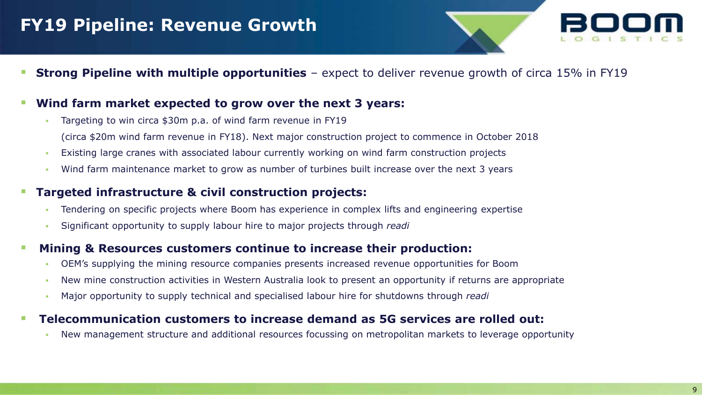## **FY19 Pipeline: Revenue Growth**

**Strong Pipeline with multiple opportunities** – expect to deliver revenue growth of circa 15% in FY19

## **Wind farm market expected to grow over the next 3 years:**

- Targeting to win circa \$30m p.a. of wind farm revenue in FY19 (circa \$20m wind farm revenue in FY18). Next major construction project to commence in October 2018
- Existing large cranes with associated labour currently working on wind farm construction projects
- Wind farm maintenance market to grow as number of turbines built increase over the next 3 years

### **Targeted infrastructure & civil construction projects:**

- Tendering on specific projects where Boom has experience in complex lifts and engineering expertise
- Significant opportunity to supply labour hire to major projects through *readi*

## **Mining & Resources customers continue to increase their production:**

- OEM's supplying the mining resource companies presents increased revenue opportunities for Boom
- New mine construction activities in Western Australia look to present an opportunity if returns are appropriate
- Major opportunity to supply technical and specialised labour hire for shutdowns through *readi*

### **Telecommunication customers to increase demand as 5G services are rolled out:**

New management structure and additional resources focussing on metropolitan markets to leverage opportunity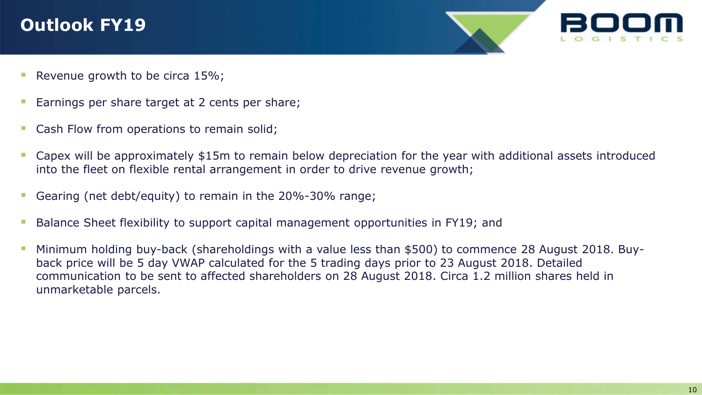# **Outlook FY19**



- Revenue growth to be circa 15%;
- **Earnings per share target at 2 cents per share;**
- **Cash Flow from operations to remain solid;**
- Capex will be approximately \$15m to remain below depreciation for the year with additional assets introduced into the fleet on flexible rental arrangement in order to drive revenue growth;
- Gearing (net debt/equity) to remain in the 20%-30% range;
- **Balance Sheet flexibility to support capital management opportunities in FY19; and**
- Minimum holding buy-back (shareholdings with a value less than \$500) to commence 28 August 2018. Buyback price will be 5 day VWAP calculated for the 5 trading days prior to 23 August 2018. Detailed communication to be sent to affected shareholders on 28 August 2018. Circa 1.2 million shares held in unmarketable parcels.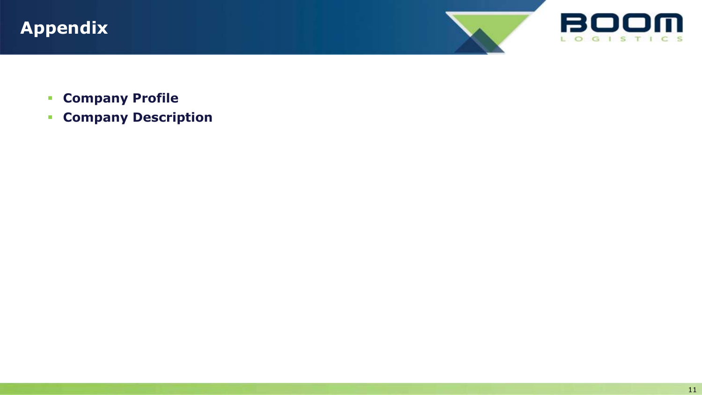





- **Company Profile**
- **Company Description**

11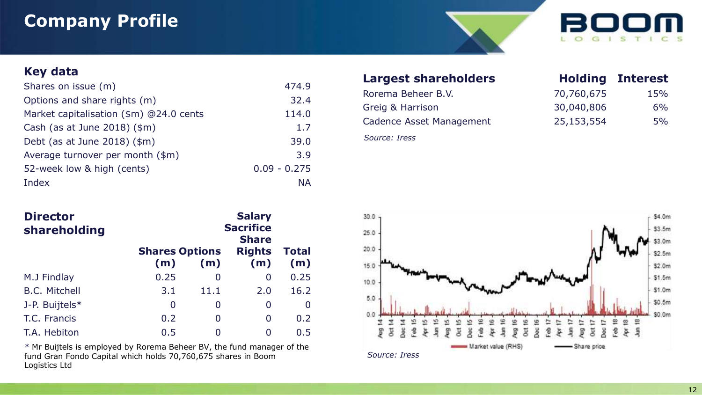## **Company Profile**



## **Key data**

| Shares on issue (m)                     | 474.9          |
|-----------------------------------------|----------------|
| Options and share rights (m)            | 32.4           |
| Market capitalisation (\$m) @24.0 cents | 114.0          |
| Cash (as at June 2018) $(\text{3m})$    | 1.7            |
| Debt (as at June 2018) $(\text{3m})$    | 39.0           |
| Average turnover per month (\$m)        | 3.9            |
| 52-week low & high (cents)              | $0.09 - 0.275$ |
| Index                                   | <b>NA</b>      |

| <b>Director</b><br>shareholding | <b>Salary</b><br><b>Sacrifice</b><br><b>Share</b> |      |                      |              |  |  |
|---------------------------------|---------------------------------------------------|------|----------------------|--------------|--|--|
|                                 | <b>Shares Options</b><br>(m)                      | (m)  | <b>Rights</b><br>(m) | Total<br>(m) |  |  |
| M.J Findlay                     | 0.25                                              | 0    | 0                    | 0.25         |  |  |
| <b>B.C. Mitchell</b>            | 3.1                                               | 11.1 | 2.0                  | 16.2         |  |  |
| J-P. Buijtels*                  | 0                                                 | 0    | 0                    | 0            |  |  |
| T.C. Francis                    | 0.2                                               | 0    | 0                    | 0.2          |  |  |
| T.A. Hebiton                    | 0.5                                               |      | 0                    | 0.5          |  |  |

*\** Mr Buijtels is employed by Rorema Beheer BV, the fund manager of the fund Gran Fondo Capital which holds 70,760,675 shares in Boom Logistics Ltd

## **Largest shareholders**

| Rorema Beheer B.V.       | 70,760,675 | 15% |
|--------------------------|------------|-----|
| Greig & Harrison         | 30,040,806 | 6%  |
| Cadence Asset Management | 25,153,554 | 5%  |

*Source: Iress*

| <b>Holding</b> | <b>Interest</b> |
|----------------|-----------------|
| 70,760,675     | 15%             |
| 30,040,806     | 6%              |
| 25,153,554     | 5%              |

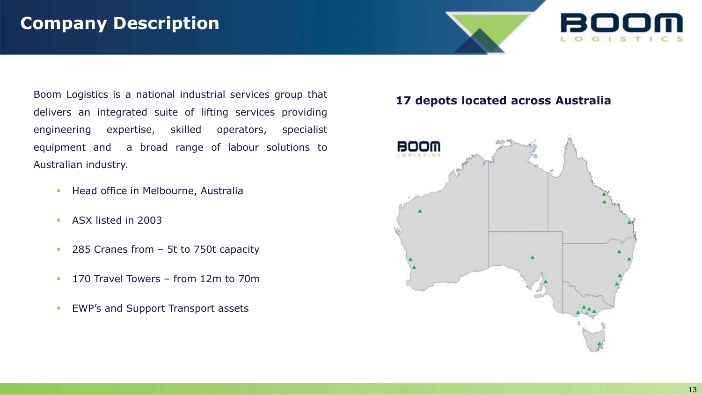## **Company Description**

Boom Logistics is a national industrial services group that delivers an integrated suite of lifting services providing engineering expertise, skilled operators, specialist equipment and a broad range of labour solutions to Australian industry.

- **Head office in Melbourne, Australia**
- **ASX listed in 2003**
- **285 Cranes from 5t to 750t capacity**
- <sup>1</sup> 170 Travel Towers from 12m to 70m
- **EWP's and Support Transport assets**

## **17 depots located across Australia**